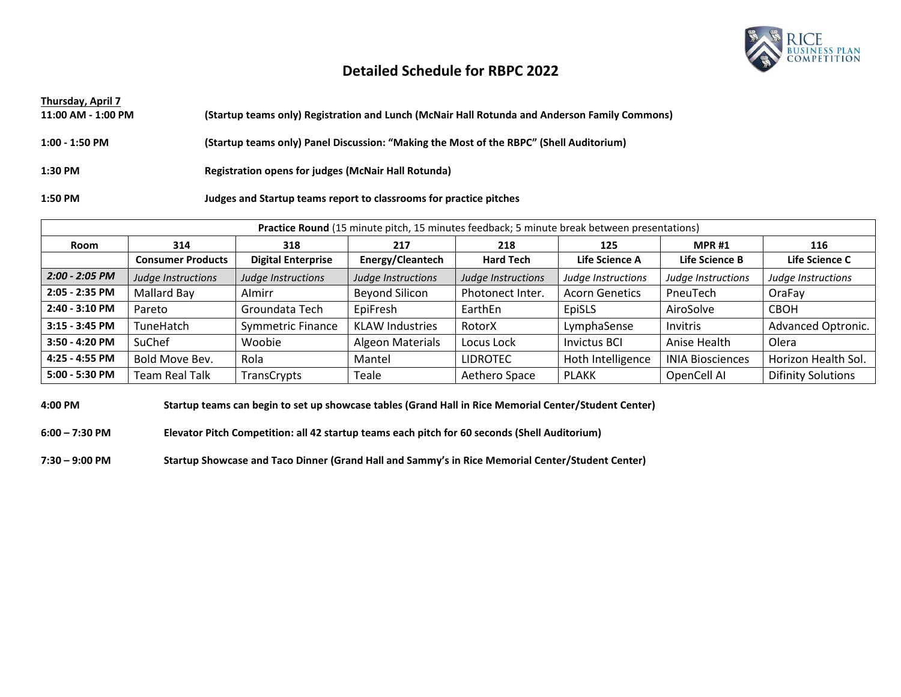

### **Detailed Schedule for RBPC 2022**

| Thursday, April 7  |                                                                                               |
|--------------------|-----------------------------------------------------------------------------------------------|
| 11:00 AM - 1:00 PM | (Startup teams only) Registration and Lunch (McNair Hall Rotunda and Anderson Family Commons) |
|                    |                                                                                               |
| $1:00 - 1:50$ PM   | (Startup teams only) Panel Discussion: "Making the Most of the RBPC" (Shell Auditorium)       |
|                    |                                                                                               |
| 1:30 PM            | Registration opens for judges (McNair Hall Rotunda)                                           |
|                    |                                                                                               |
| 1:50 PM            | Judges and Startup teams report to classrooms for practice pitches                            |

**Practice Round** (15 minute pitch, 15 minutes feedback; 5 minute break between presentations)

| Room             | 314                      | 318                       | 217                    | 218                | 125                   | <b>MPR#1</b>            | 116                       |
|------------------|--------------------------|---------------------------|------------------------|--------------------|-----------------------|-------------------------|---------------------------|
|                  | <b>Consumer Products</b> | <b>Digital Enterprise</b> | Energy/Cleantech       | <b>Hard Tech</b>   | Life Science A        | Life Science B          | Life Science C            |
| $2:00 - 2:05$ PM | Judge Instructions       | Judge Instructions        | Judge Instructions     | Judge Instructions | Judge Instructions    | Judge Instructions      | Judge Instructions        |
| 2:05 - 2:35 PM   | Mallard Bay              | Almirr                    | <b>Beyond Silicon</b>  | Photonect Inter.   | <b>Acorn Genetics</b> | PneuTech                | OraFay                    |
| 2:40 - 3:10 PM   | Pareto                   | Groundata Tech            | EpiFresh               | EarthEn            | EpiSLS                | AiroSolve               | <b>CBOH</b>               |
| $3:15 - 3:45$ PM | TuneHatch                | <b>Symmetric Finance</b>  | <b>KLAW Industries</b> | RotorX             | LymphaSense           | Invitris                | Advanced Optronic.        |
| 3:50 - 4:20 PM   | SuChef                   | Woobie                    | Algeon Materials       | Locus Lock         | <b>Invictus BCI</b>   | Anise Health            | Olera                     |
| 4:25 - 4:55 PM   | Bold Move Bev.           | Rola                      | Mantel                 | <b>LIDROTEC</b>    | Hoth Intelligence     | <b>INIA Biosciences</b> | Horizon Health Sol.       |
| 5:00 - 5:30 PM   | <b>Team Real Talk</b>    | TransCrypts               | Teale                  | Aethero Space      | <b>PLAKK</b>          | OpenCell AI             | <b>Difinity Solutions</b> |

**4:00 PM Startup teams can begin to set up showcase tables (Grand Hall in Rice Memorial Center/Student Center)**

**6:00 – 7:30 PM Elevator Pitch Competition: all 42 startup teams each pitch for 60 seconds (Shell Auditorium)**

**7:30 – 9:00 PM Startup Showcase and Taco Dinner (Grand Hall and Sammy's in Rice Memorial Center/Student Center)**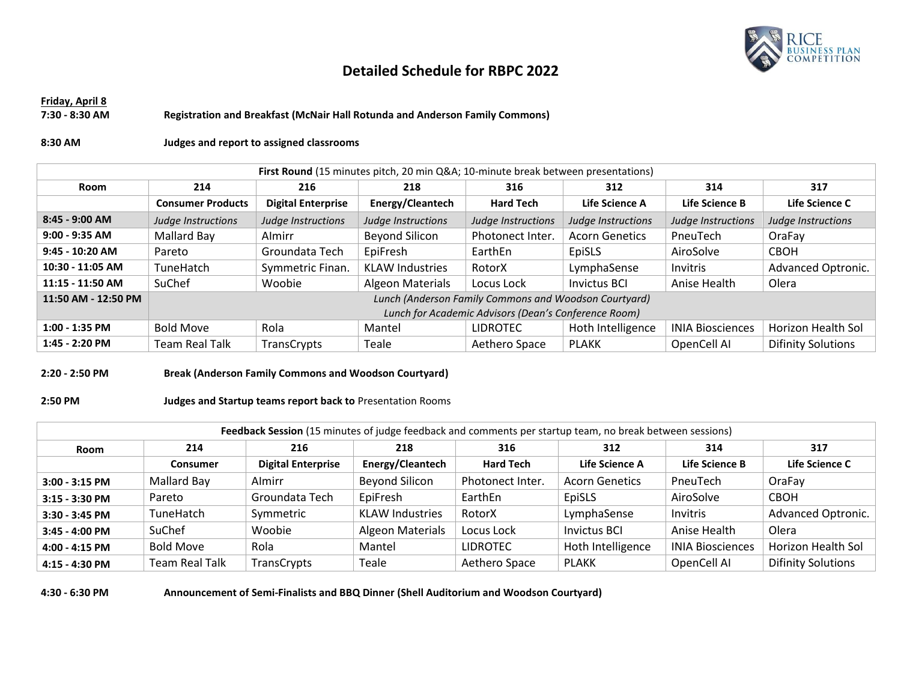

# **Detailed Schedule for RBPC 2022**

#### **Friday, April 8 7:30 - 8:30 AM Registration and Breakfast (McNair Hall Rotunda and Anderson Family Commons)**

#### **8:30 AM Judges and report to assigned classrooms**

| First Round (15 minutes pitch, 20 min Q&A 10-minute break between presentations) |                                                       |                           |                         |                    |                       |                         |                           |
|----------------------------------------------------------------------------------|-------------------------------------------------------|---------------------------|-------------------------|--------------------|-----------------------|-------------------------|---------------------------|
| Room                                                                             | 214                                                   | 216                       | 218                     | 316                | 312                   | 314                     | 317                       |
|                                                                                  | <b>Consumer Products</b>                              | <b>Digital Enterprise</b> | Energy/Cleantech        | <b>Hard Tech</b>   | Life Science A        | Life Science B          | Life Science C            |
| $8:45 - 9:00$ AM                                                                 | Judge Instructions                                    | Judge Instructions        | Judge Instructions      | Judge Instructions | Judge Instructions    | Judge Instructions      | Judge Instructions        |
| $9:00 - 9:35$ AM                                                                 | Mallard Bay                                           | Almirr                    | <b>Beyond Silicon</b>   | Photonect Inter.   | <b>Acorn Genetics</b> | PneuTech                | OraFay                    |
| 9:45 - 10:20 AM                                                                  | Pareto                                                | Groundata Tech            | EpiFresh                | EarthEn            | EpiSLS                | AiroSolve               | <b>CBOH</b>               |
| 10:30 - 11:05 AM                                                                 | <b>TuneHatch</b>                                      | Symmetric Finan.          | <b>KLAW Industries</b>  | RotorX             | LymphaSense           | <b>Invitris</b>         | Advanced Optronic.        |
| 11:15 - 11:50 AM                                                                 | SuChef                                                | Woobie                    | <b>Algeon Materials</b> | Locus Lock         | Invictus BCI          | Anise Health            | Olera                     |
| 11:50 AM - 12:50 PM                                                              | Lunch (Anderson Family Commons and Woodson Courtyard) |                           |                         |                    |                       |                         |                           |
|                                                                                  | Lunch for Academic Advisors (Dean's Conference Room)  |                           |                         |                    |                       |                         |                           |
| $1:00 - 1:35$ PM                                                                 | <b>Bold Move</b>                                      | Rola                      | Mantel                  | <b>LIDROTEC</b>    | Hoth Intelligence     | <b>INIA Biosciences</b> | Horizon Health Sol        |
| 1:45 - 2:20 PM                                                                   | <b>Team Real Talk</b>                                 | TransCrypts               | Teale                   | Aethero Space      | <b>PLAKK</b>          | OpenCell AI             | <b>Difinity Solutions</b> |

#### **2:20 - 2:50 PM Break (Anderson Family Commons and Woodson Courtyard)**

#### **2:50 PM Judges and Startup teams report back to** Presentation Rooms

| Feedback Session (15 minutes of judge feedback and comments per startup team, no break between sessions) |                       |                           |                        |                  |                       |                         |                           |
|----------------------------------------------------------------------------------------------------------|-----------------------|---------------------------|------------------------|------------------|-----------------------|-------------------------|---------------------------|
| Room                                                                                                     | 214                   | 216                       | 218                    | 316              | 312                   | 314                     | 317                       |
|                                                                                                          | <b>Consumer</b>       | <b>Digital Enterprise</b> | Energy/Cleantech       | <b>Hard Tech</b> | Life Science A        | Life Science B          | Life Science C            |
| $3:00 - 3:15$ PM                                                                                         | Mallard Bay           | Almirr                    | <b>Beyond Silicon</b>  | Photonect Inter. | <b>Acorn Genetics</b> | PneuTech                | OraFay                    |
| 3:15 - 3:30 PM                                                                                           | Pareto                | Groundata Tech            | EpiFresh               | EarthEn          | EpiSLS                | AiroSolve               | <b>CBOH</b>               |
| 3:30 - 3:45 PM                                                                                           | TuneHatch             | Symmetric                 | <b>KLAW Industries</b> | RotorX           | LymphaSense           | Invitris                | Advanced Optronic.        |
| $3:45 - 4:00$ PM                                                                                         | SuChef                | Woobie                    | Algeon Materials       | Locus Lock       | <b>Invictus BCI</b>   | Anise Health            | Olera                     |
| 4:00 - 4:15 PM                                                                                           | <b>Bold Move</b>      | Rola                      | Mantel                 | <b>LIDROTEC</b>  | Hoth Intelligence     | <b>INIA Biosciences</b> | Horizon Health Sol        |
| 4:15 - 4:30 PM                                                                                           | <b>Team Real Talk</b> | TransCrypts               | Teale                  | Aethero Space    | <b>PLAKK</b>          | OpenCell AI             | <b>Difinity Solutions</b> |

**4:30 - 6:30 PM Announcement of Semi-Finalists and BBQ Dinner (Shell Auditorium and Woodson Courtyard)**